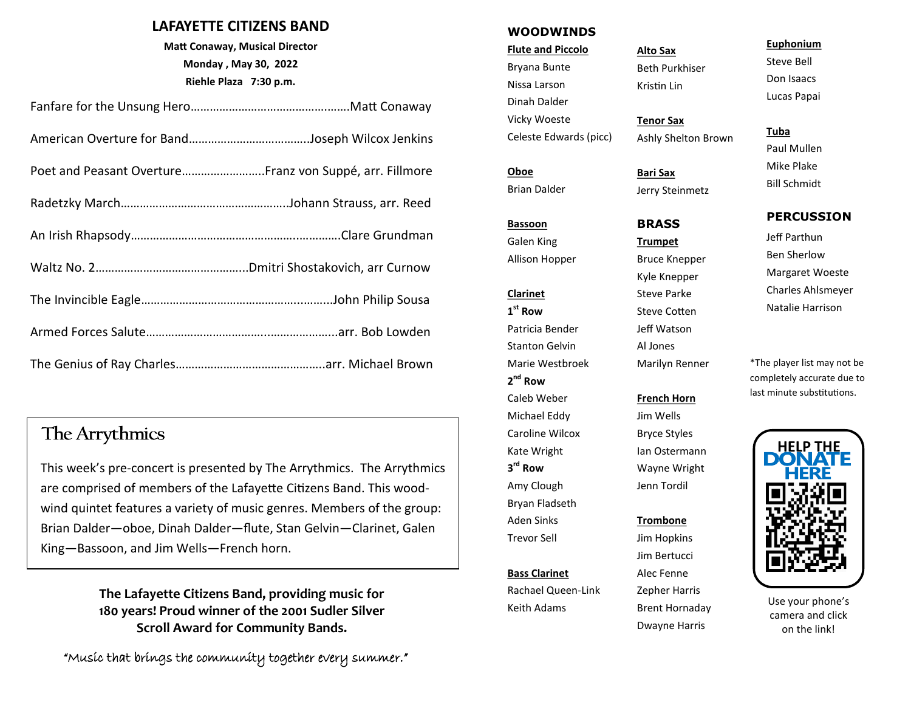## **LAFAYETTE CITIZENS BAND**

**Matt Conaway, Musical Director Monday , May 30, 2022 Riehle Plaza 7:30 p.m.**

| Poet and Peasant OvertureFranz von Suppé, arr. Fillmore |
|---------------------------------------------------------|
|                                                         |
|                                                         |
|                                                         |
|                                                         |
|                                                         |
|                                                         |

## The Arrythmics

This week's pre-concert is presented by The Arrythmics. The Arrythmics are comprised of members of the Lafayette Citizens Band. This woodwind quintet features a variety of music genres. Members of the group: Brian Dalder—oboe, Dinah Dalder—flute, Stan Gelvin—Clarinet, Galen King—Bassoon, and Jim Wells—French horn.

> **The Lafayette Citizens Band, providing music for 180 years! Proud winner of the 2001 Sudler Silver Scroll Award for Community Bands.**

"Music that brings the community together every summer."

#### **WOODWINDS**

**Flute and Piccolo**  Bryana Bunte Nissa Larson Dinah Dalder Vicky Woeste Celeste Edwards (picc)

**Oboe** Brian Dalder

#### **Bassoon**

Galen King Allison Hopper

## **Clarinet 1 st Row**

Patricia Bender Stanton Gelvin Marie Westbroek **2 nd Row** Caleb Weber Michael Eddy Caroline Wilcox Kate Wright **3 rd Row** Amy Clough Bryan Fladseth Aden Sinks Trevor Sell

**Bass Clarinet** Rachael Queen-Link Keith Adams

## **Alto Sax** Beth Purkhiser Kristin Lin

**Tenor Sax** Ashly Shelton Brown

**Bari Sax** Jerry Steinmetz

## **BRASS**

**Trumpet** Bruce Knepper Kyle Knepper Steve Parke Steve Cotten Jeff Watson Al Jones Marilyn Renner

## **French Horn**

Jim Wells Bryce Styles Ian Ostermann Wayne Wright Jenn Tordil

#### **Trombone**

Jim Hopkins Jim Bertucci Alec Fenne Zepher Harris Brent Hornaday Dwayne Harris

#### **Euphonium**

Steve Bell Don Isaacs Lucas Papai

## **Tuba**

Paul Mullen Mike Plake Bill Schmidt

### **PERCUSSION**

Jeff Parthun Ben Sherlow Margaret Woeste Charles Ahlsmeyer Natalie Harrison

\*The player list may not be completely accurate due to last minute substitutions.



Use your phone's camera and click on the link!